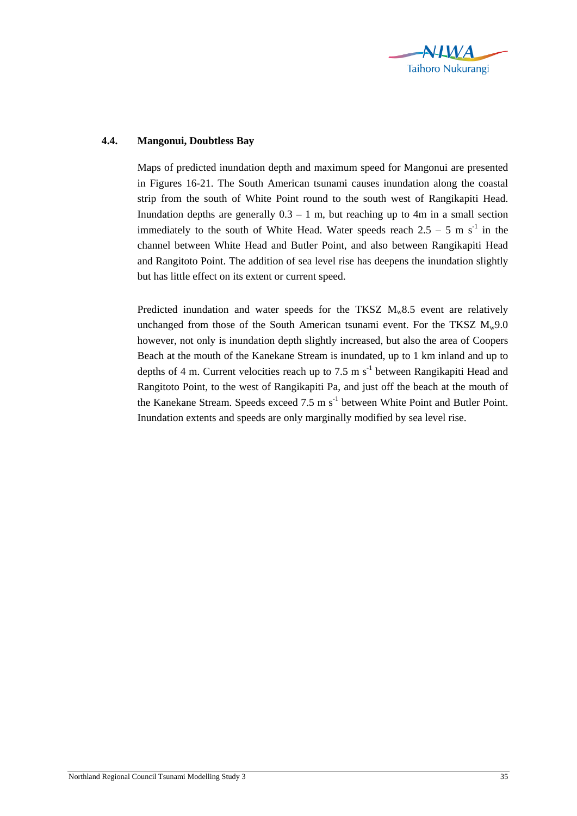

## **4.4. Mangonui, Doubtless Bay**

Maps of predicted inundation depth and maximum speed for Mangonui are presented in Figures 16-21. The South American tsunami causes inundation along the coastal strip from the south of White Point round to the south west of Rangikapiti Head. Inundation depths are generally  $0.3 - 1$  m, but reaching up to 4m in a small section immediately to the south of White Head. Water speeds reach  $2.5 - 5$  m s<sup>-1</sup> in the channel between White Head and Butler Point, and also between Rangikapiti Head and Rangitoto Point. The addition of sea level rise has deepens the inundation slightly but has little effect on its extent or current speed.

Predicted inundation and water speeds for the TKSZ  $M_w 8.5$  event are relatively unchanged from those of the South American tsunami event. For the TKSZ  $M_w$ 9.0 however, not only is inundation depth slightly increased, but also the area of Coopers Beach at the mouth of the Kanekane Stream is inundated, up to 1 km inland and up to depths of 4 m. Current velocities reach up to 7.5 m  $s^{-1}$  between Rangikapiti Head and Rangitoto Point, to the west of Rangikapiti Pa, and just off the beach at the mouth of the Kanekane Stream. Speeds exceed 7.5 m s<sup>-1</sup> between White Point and Butler Point. Inundation extents and speeds are only marginally modified by sea level rise.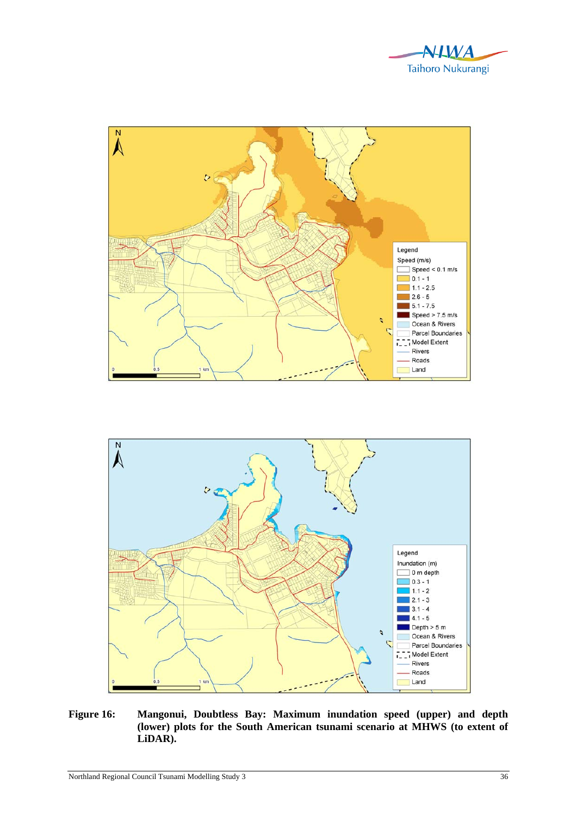





**Figure 16: Mangonui, Doubtless Bay: Maximum inundation speed (upper) and depth (lower) plots for the South American tsunami scenario at MHWS (to extent of LiDAR).**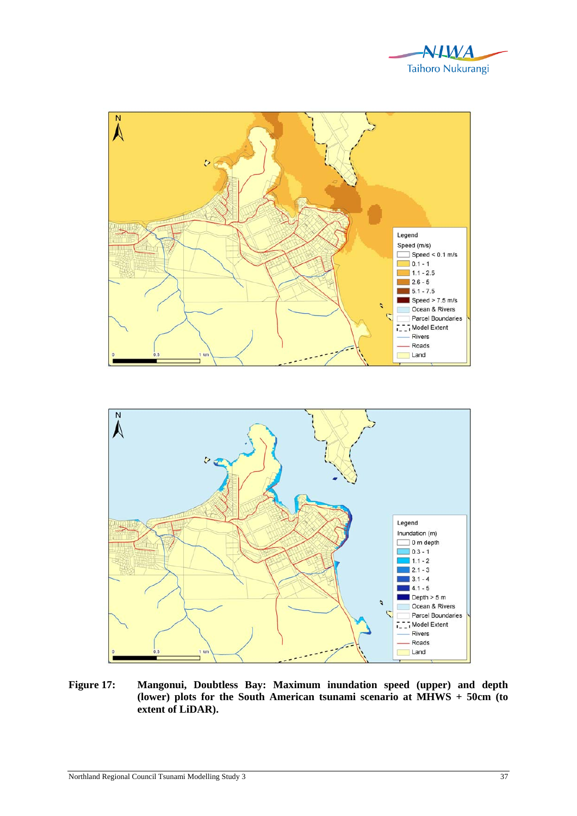



**Figure 17: Mangonui, Doubtless Bay: Maximum inundation speed (upper) and depth (lower) plots for the South American tsunami scenario at MHWS + 50cm (to extent of LiDAR).**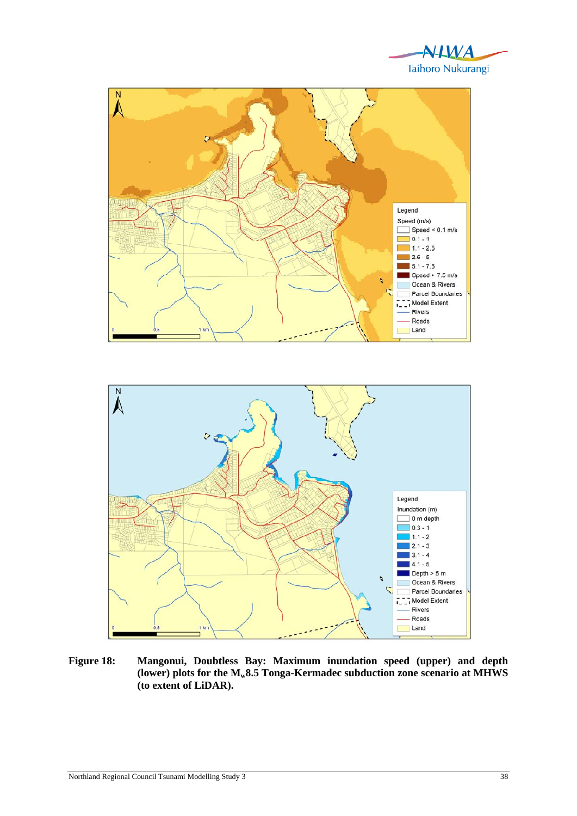





**Figure 18: Mangonui, Doubtless Bay: Maximum inundation speed (upper) and depth (lower) plots for the Mw8.5 Tonga-Kermadec subduction zone scenario at MHWS (to extent of LiDAR).**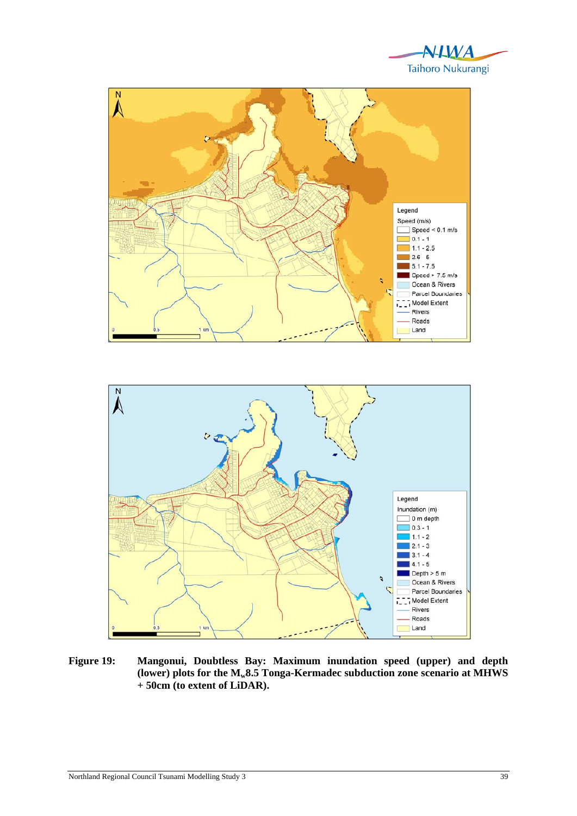





**Figure 19: Mangonui, Doubtless Bay: Maximum inundation speed (upper) and depth (lower) plots for the Mw8.5 Tonga-Kermadec subduction zone scenario at MHWS + 50cm (to extent of LiDAR).**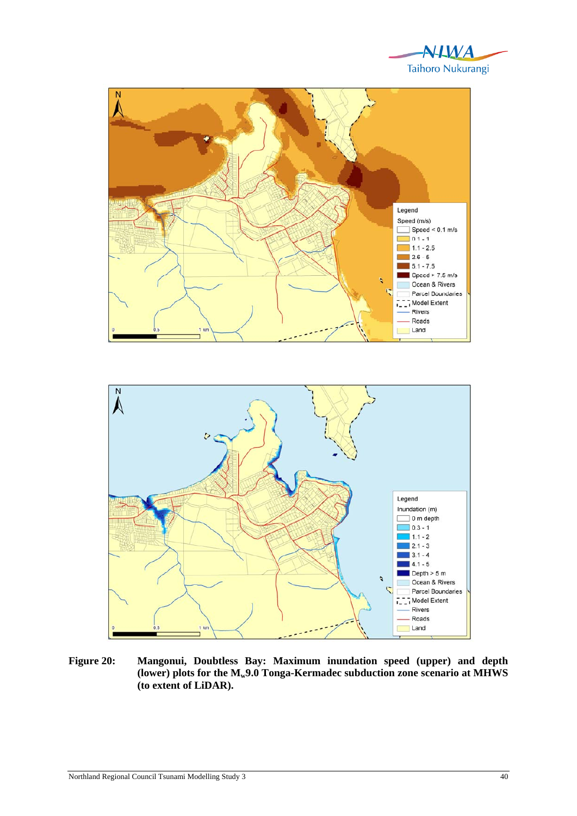





**Figure 20: Mangonui, Doubtless Bay: Maximum inundation speed (upper) and depth**  (lower) plots for the  $M_{w}9.0$  Tonga-Kermadec subduction zone scenario at MHWS **(to extent of LiDAR).**